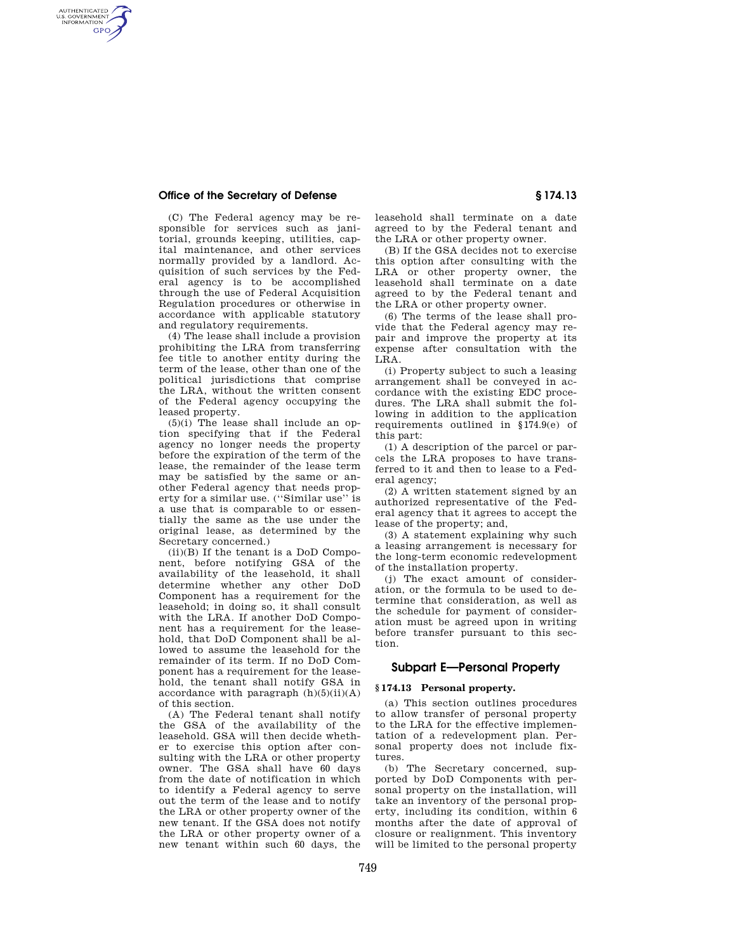## **Office of the Secretary of Defense § 174.13**

AUTHENTICATED<br>U.S. GOVERNMENT<br>INFORMATION **GPO** 

> (C) The Federal agency may be responsible for services such as janitorial, grounds keeping, utilities, capital maintenance, and other services normally provided by a landlord. Acquisition of such services by the Federal agency is to be accomplished through the use of Federal Acquisition Regulation procedures or otherwise in accordance with applicable statutory and regulatory requirements.

> (4) The lease shall include a provision prohibiting the LRA from transferring fee title to another entity during the term of the lease, other than one of the political jurisdictions that comprise the LRA, without the written consent of the Federal agency occupying the leased property.

> $(5)(i)$  The lease shall include an option specifying that if the Federal agency no longer needs the property before the expiration of the term of the lease, the remainder of the lease term may be satisfied by the same or another Federal agency that needs property for a similar use. (''Similar use'' is a use that is comparable to or essentially the same as the use under the original lease, as determined by the Secretary concerned.)

> (ii)(B) If the tenant is a DoD Component, before notifying GSA of the availability of the leasehold, it shall determine whether any other DoD Component has a requirement for the leasehold; in doing so, it shall consult with the LRA. If another DoD Component has a requirement for the leasehold, that DoD Component shall be allowed to assume the leasehold for the remainder of its term. If no DoD Component has a requirement for the leasehold, the tenant shall notify GSA in accordance with paragraph  $(h)(5)(ii)(A)$ of this section.

> (A) The Federal tenant shall notify the GSA of the availability of the leasehold. GSA will then decide whether to exercise this option after consulting with the LRA or other property owner. The GSA shall have 60 days from the date of notification in which to identify a Federal agency to serve out the term of the lease and to notify the LRA or other property owner of the new tenant. If the GSA does not notify the LRA or other property owner of a new tenant within such 60 days, the

leasehold shall terminate on a date agreed to by the Federal tenant and the LRA or other property owner.

(B) If the GSA decides not to exercise this option after consulting with the LRA or other property owner, the leasehold shall terminate on a date agreed to by the Federal tenant and the LRA or other property owner.

(6) The terms of the lease shall provide that the Federal agency may repair and improve the property at its expense after consultation with the LRA.

(i) Property subject to such a leasing arrangement shall be conveyed in accordance with the existing EDC procedures. The LRA shall submit the following in addition to the application requirements outlined in §174.9(e) of this part:

(1) A description of the parcel or parcels the LRA proposes to have transferred to it and then to lease to a Federal agency;

(2) A written statement signed by an authorized representative of the Federal agency that it agrees to accept the lease of the property; and,

(3) A statement explaining why such a leasing arrangement is necessary for the long-term economic redevelopment of the installation property.

(j) The exact amount of consideration, or the formula to be used to determine that consideration, as well as the schedule for payment of consideration must be agreed upon in writing before transfer pursuant to this section.

# **Subpart E—Personal Property**

#### **§ 174.13 Personal property.**

(a) This section outlines procedures to allow transfer of personal property to the LRA for the effective implementation of a redevelopment plan. Personal property does not include fixtures.

(b) The Secretary concerned, supported by DoD Components with personal property on the installation, will take an inventory of the personal property, including its condition, within 6 months after the date of approval of closure or realignment. This inventory will be limited to the personal property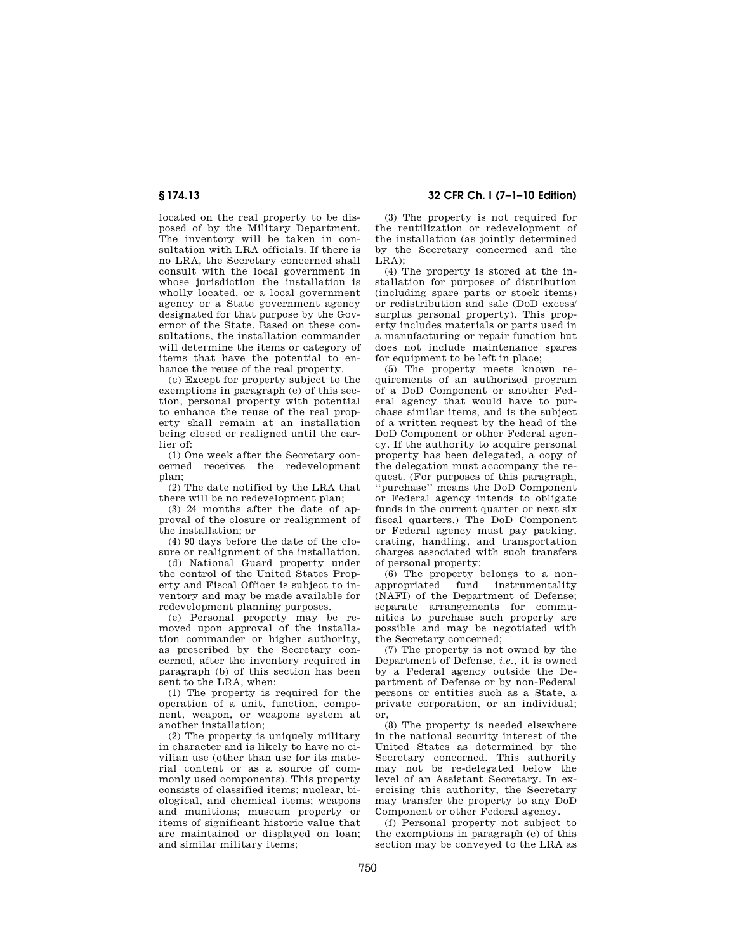located on the real property to be disposed of by the Military Department. The inventory will be taken in consultation with LRA officials. If there is no LRA, the Secretary concerned shall consult with the local government in whose jurisdiction the installation is wholly located, or a local government agency or a State government agency designated for that purpose by the Governor of the State. Based on these consultations, the installation commander will determine the items or category of items that have the potential to enhance the reuse of the real property.

(c) Except for property subject to the exemptions in paragraph (e) of this section, personal property with potential to enhance the reuse of the real property shall remain at an installation being closed or realigned until the earlier of:

(1) One week after the Secretary concerned receives the redevelopment plan;

(2) The date notified by the LRA that there will be no redevelopment plan;

(3) 24 months after the date of approval of the closure or realignment of the installation; or

(4) 90 days before the date of the closure or realignment of the installation.

(d) National Guard property under the control of the United States Property and Fiscal Officer is subject to inventory and may be made available for redevelopment planning purposes.

(e) Personal property may be removed upon approval of the installation commander or higher authority, as prescribed by the Secretary concerned, after the inventory required in paragraph (b) of this section has been sent to the LRA, when:

(1) The property is required for the operation of a unit, function, component, weapon, or weapons system at another installation;

(2) The property is uniquely military in character and is likely to have no civilian use (other than use for its material content or as a source of commonly used components). This property consists of classified items; nuclear, biological, and chemical items; weapons and munitions; museum property or items of significant historic value that are maintained or displayed on loan; and similar military items;

**§ 174.13 32 CFR Ch. I (7–1–10 Edition)** 

(3) The property is not required for the reutilization or redevelopment of the installation (as jointly determined by the Secretary concerned and the  $LRA$ ):

(4) The property is stored at the installation for purposes of distribution (including spare parts or stock items) or redistribution and sale (DoD excess/ surplus personal property). This property includes materials or parts used in a manufacturing or repair function but does not include maintenance spares for equipment to be left in place;

(5) The property meets known requirements of an authorized program of a DoD Component or another Federal agency that would have to purchase similar items, and is the subject of a written request by the head of the DoD Component or other Federal agency. If the authority to acquire personal property has been delegated, a copy of the delegation must accompany the request. (For purposes of this paragraph, ''purchase'' means the DoD Component or Federal agency intends to obligate funds in the current quarter or next six fiscal quarters.) The DoD Component or Federal agency must pay packing, crating, handling, and transportation charges associated with such transfers of personal property;

(6) The property belongs to a nonappropriated fund instrumentality (NAFI) of the Department of Defense; separate arrangements for communities to purchase such property are possible and may be negotiated with the Secretary concerned;

(7) The property is not owned by the Department of Defense, *i.e.*, it is owned by a Federal agency outside the Department of Defense or by non-Federal persons or entities such as a State, a private corporation, or an individual; or,

(8) The property is needed elsewhere in the national security interest of the United States as determined by the Secretary concerned. This authority may not be re-delegated below the level of an Assistant Secretary. In exercising this authority, the Secretary may transfer the property to any DoD Component or other Federal agency.

(f) Personal property not subject to the exemptions in paragraph (e) of this section may be conveyed to the LRA as